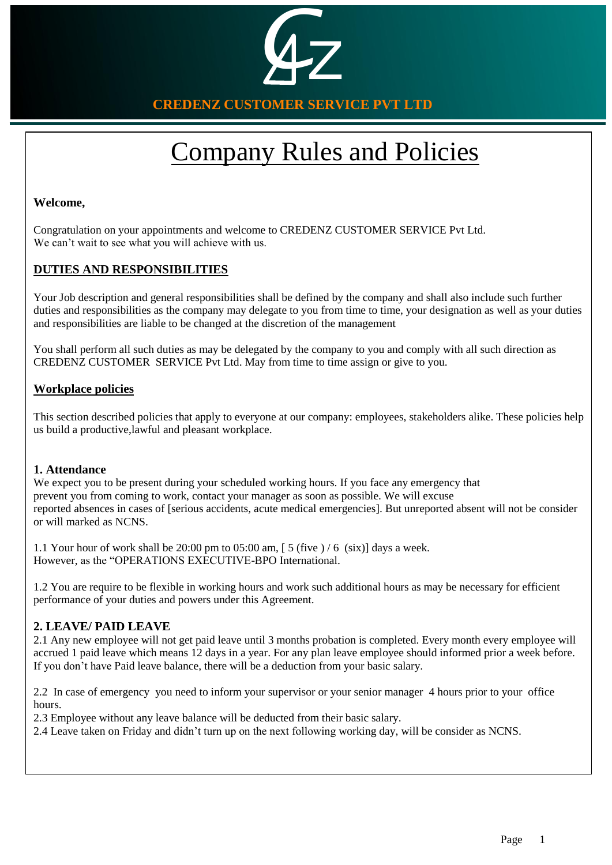

**CREDENZ CUSTOMER SERVICE PVT LTD**

# Company Rules and Policies

## **Welcome,**

Congratulation on your appointments and welcome to CREDENZ CUSTOMER SERVICE Pvt Ltd. We can't wait to see what you will achieve with us.

## **DUTIES AND RESPONSIBILITIES**

. duties and responsibilities as the company may delegate to you from time to time, your designation as well as your duties Your Job description and general responsibilities shall be defined by the company and shall also include such further and responsibilities are liable to be changed at the discretion of the management

You shall perform all such duties as may be delegated by the company to you and comply with all such direction as CREDENZ CUSTOMER SERVICE Pvt Ltd. May from time to time assign or give to you.

## **Workplace policies**

This section described policies that apply to everyone at our company: employees, stakeholders alike. These policies help us build a productive,lawful and pleasant workplace.

### **1. Attendance**

We expect you to be present during your scheduled working hours. If you face any emergency that prevent you from coming to work, contact your manager as soon as possible. We will excuse reported absences in cases of [serious accidents, acute medical emergencies]. But unreported absent will not be consider or will marked as NCNS.

1.1 Your hour of work shall be 20:00 pm to 05:00 am, [ 5 (five ) / 6 (six)] days a week. However, as the "OPERATIONS EXECUTIVE-BPO International.

1.2 You are require to be flexible in working hours and work such additional hours as may be necessary for efficient performance of your duties and powers under this Agreement.

## **2. LEAVE/ PAID LEAVE**

2.1 Any new employee will not get paid leave until 3 months probation is completed. Every month every employee will accrued 1 paid leave which means 12 days in a year. For any plan leave employee should informed prior a week before. If you don't have Paid leave balance, there will be a deduction from your basic salary.

2.2 In case of emergency you need to inform your supervisor or your senior manager 4 hours prior to your office hours.

2.3 Employee without any leave balance will be deducted from their basic salary.

2.4 Leave taken on Friday and didn't turn up on the next following working day, will be consider as NCNS.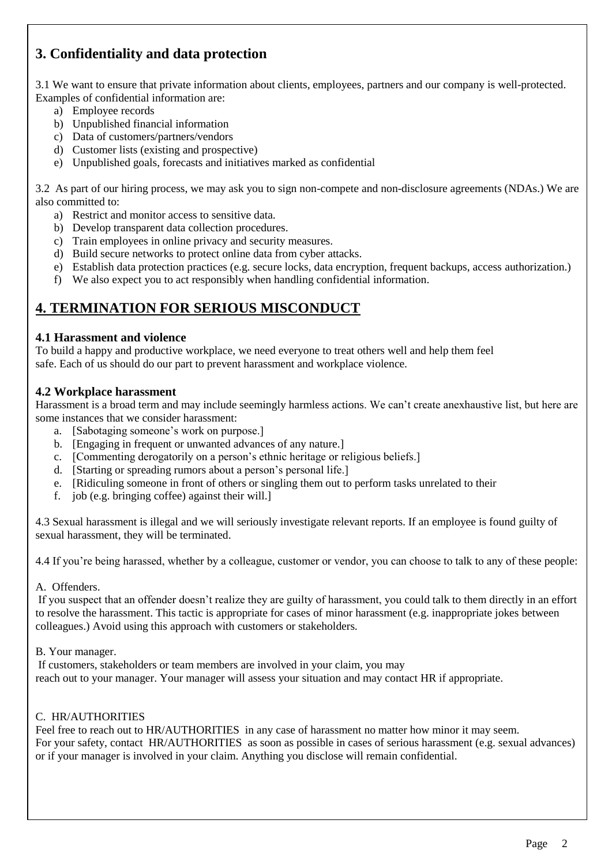# **3. Confidentiality and data protection**

3.1 We want to ensure that private information about clients, employees, partners and our company is well-protected. Examples of confidential information are:

- a) Employee records
- b) Unpublished financial information
- c) Data of customers/partners/vendors
- d) Customer lists (existing and prospective)
- e) Unpublished goals, forecasts and initiatives marked as confidential

3.2 As part of our hiring process, we may ask you to sign non-compete and non-disclosure agreements (NDAs.) We are also committed to:

- a) Restrict and monitor access to sensitive data.
- b) Develop transparent data collection procedures.
- c) Train employees in online privacy and security measures.
- d) Build secure networks to protect online data from cyber attacks.
- e) Establish data protection practices (e.g. secure locks, data encryption, frequent backups, access authorization.)
- f) We also expect you to act responsibly when handling confidential information.

# **4. TERMINATION FOR SERIOUS MISCONDUCT**

## **4.1 Harassment and violence**

To build a happy and productive workplace, we need everyone to treat others well and help them feel safe. Each of us should do our part to prevent harassment and workplace violence.

## **4.2 Workplace harassment**

Harassment is a broad term and may include seemingly harmless actions. We can't create anexhaustive list, but here are some instances that we consider harassment:

- a. [Sabotaging someone's work on purpose.]
- b. [Engaging in frequent or unwanted advances of any nature.]
- c. [Commenting derogatorily on a person's ethnic heritage or religious beliefs.]
- d. [Starting or spreading rumors about a person's personal life.]
- e. [Ridiculing someone in front of others or singling them out to perform tasks unrelated to their
- f. job (e.g. bringing coffee) against their will.]

4.3 Sexual harassment is illegal and we will seriously investigate relevant reports. If an employee is found guilty of sexual harassment, they will be terminated.

4.4 If you're being harassed, whether by a colleague, customer or vendor, you can choose to talk to any of these people:

A. Offenders.

If you suspect that an offender doesn't realize they are guilty of harassment, you could talk to them directly in an effort to resolve the harassment. This tactic is appropriate for cases of minor harassment (e.g. inappropriate jokes between colleagues.) Avoid using this approach with customers or stakeholders.

B. Your manager.

If customers, stakeholders or team members are involved in your claim, you may reach out to your manager. Your manager will assess your situation and may contact HR if appropriate.

## C. HR/AUTHORITIES

Feel free to reach out to HR/AUTHORITIES in any case of harassment no matter how minor it may seem. For your safety, contact HR/AUTHORITIES as soon as possible in cases of serious harassment (e.g. sexual advances) or if your manager is involved in your claim. Anything you disclose will remain confidential.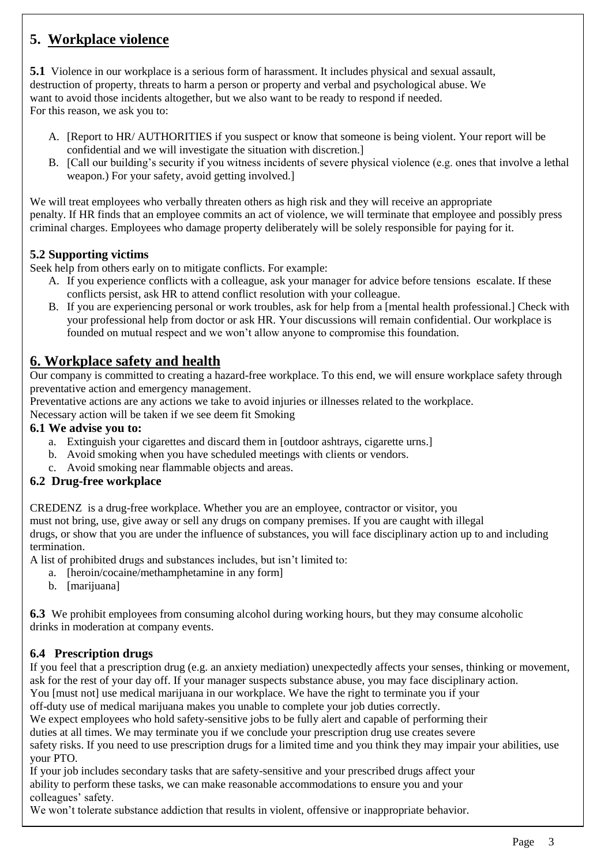# **5. Workplace violence**

**5.1** Violence in our workplace is a serious form of harassment. It includes physical and sexual assault, destruction of property, threats to harm a person or property and verbal and psychological abuse. We want to avoid those incidents altogether, but we also want to be ready to respond if needed. For this reason, we ask you to:

- A. [Report to HR/ AUTHORITIES if you suspect or know that someone is being violent. Your report will be confidential and we will investigate the situation with discretion.]
- B. [Call our building's security if you witness incidents of severe physical violence (e.g. ones that involve a lethal weapon.) For your safety, avoid getting involved.]

We will treat employees who verbally threaten others as high risk and they will receive an appropriate penalty. If HR finds that an employee commits an act of violence, we will terminate that employee and possibly press criminal charges. Employees who damage property deliberately will be solely responsible for paying for it.

## **5.2 Supporting victims**

Seek help from others early on to mitigate conflicts. For example:

- A. If you experience conflicts with a colleague, ask your manager for advice before tensions escalate. If these conflicts persist, ask HR to attend conflict resolution with your colleague.
- B. If you are experiencing personal or work troubles, ask for help from a [mental health professional.] Check with your professional help from doctor or ask HR. Your discussions will remain confidential. Our workplace is founded on mutual respect and we won't allow anyone to compromise this foundation.

## **6. Workplace safety and health**

Our company is committed to creating a hazard-free workplace. To this end, we will ensure workplace safety through preventative action and emergency management.

Preventative actions are any actions we take to avoid injuries or illnesses related to the workplace.

Necessary action will be taken if we see deem fit Smoking

#### **6.1 We advise you to:**

- a. Extinguish your cigarettes and discard them in [outdoor ashtrays, cigarette urns.]
- b. Avoid smoking when you have scheduled meetings with clients or vendors.
- c. Avoid smoking near flammable objects and areas.

## **6.2 Drug-free workplace**

CREDENZ is a drug-free workplace. Whether you are an employee, contractor or visitor, you must not bring, use, give away or sell any drugs on company premises. If you are caught with illegal drugs, or show that you are under the influence of substances, you will face disciplinary action up to and including termination.

A list of prohibited drugs and substances includes, but isn't limited to:

- a. [heroin/cocaine/methamphetamine in any form]
	- b. [marijuana]

**6.3** We prohibit employees from consuming alcohol during working hours, but they may consume alcoholic drinks in moderation at company events.

### **6.4 Prescription drugs**

If you feel that a prescription drug (e.g. an anxiety mediation) unexpectedly affects your senses, thinking or movement, ask for the rest of your day off. If your manager suspects substance abuse, you may face disciplinary action.

You [must not] use medical marijuana in our workplace. We have the right to terminate you if your off-duty use of medical marijuana makes you unable to complete your job duties correctly.

We expect employees who hold safety-sensitive jobs to be fully alert and capable of performing their

duties at all times. We may terminate you if we conclude your prescription drug use creates severe

safety risks. If you need to use prescription drugs for a limited time and you think they may impair your abilities, use your PTO.

If your job includes secondary tasks that are safety-sensitive and your prescribed drugs affect your ability to perform these tasks, we can make reasonable accommodations to ensure you and your colleagues' safety.

We won't tolerate substance addiction that results in violent, offensive or inappropriate behavior.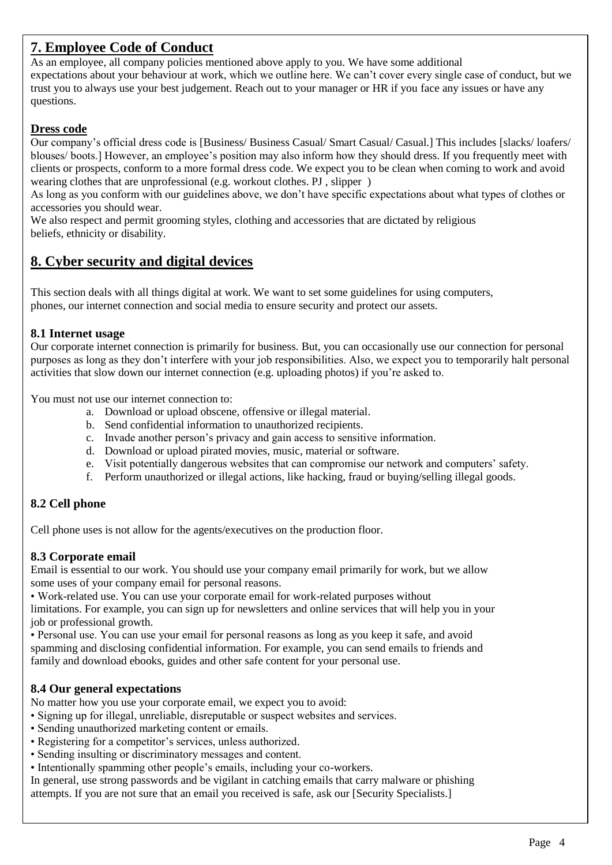# **7. Employee Code of Conduct**

As an employee, all company policies mentioned above apply to you. We have some additional expectations about your behaviour at work, which we outline here. We can't cover every single case of conduct, but we trust you to always use your best judgement. Reach out to your manager or HR if you face any issues or have any questions.

## **Dress code**

Our company's official dress code is [Business/ Business Casual/ Smart Casual/ Casual.] This includes [slacks/ loafers/ blouses/ boots.] However, an employee's position may also inform how they should dress. If you frequently meet with clients or prospects, conform to a more formal dress code. We expect you to be clean when coming to work and avoid wearing clothes that are unprofessional (e.g. workout clothes. PJ , slipper )

As long as you conform with our guidelines above, we don't have specific expectations about what types of clothes or accessories you should wear.

We also respect and permit grooming styles, clothing and accessories that are dictated by religious beliefs, ethnicity or disability.

# **8. Cyber security and digital devices**

This section deals with all things digital at work. We want to set some guidelines for using computers, phones, our internet connection and social media to ensure security and protect our assets.

## **8.1 Internet usage**

Our corporate internet connection is primarily for business. But, you can occasionally use our connection for personal purposes as long as they don't interfere with your job responsibilities. Also, we expect you to temporarily halt personal activities that slow down our internet connection (e.g. uploading photos) if you're asked to.

You must not use our internet connection to:

- a. Download or upload obscene, offensive or illegal material.
- b. Send confidential information to unauthorized recipients.
- c. Invade another person's privacy and gain access to sensitive information.
- d. Download or upload pirated movies, music, material or software.
- e. Visit potentially dangerous websites that can compromise our network and computers' safety.
- f. Perform unauthorized or illegal actions, like hacking, fraud or buying/selling illegal goods.

## **8.2 Cell phone**

Cell phone uses is not allow for the agents/executives on the production floor.

## **8.3 Corporate email**

Email is essential to our work. You should use your company email primarily for work, but we allow some uses of your company email for personal reasons.

• Work-related use. You can use your corporate email for work-related purposes without

limitations. For example, you can sign up for newsletters and online services that will help you in your job or professional growth.

• Personal use. You can use your email for personal reasons as long as you keep it safe, and avoid spamming and disclosing confidential information. For example, you can send emails to friends and family and download ebooks, guides and other safe content for your personal use.

## **8.4 Our general expectations**

No matter how you use your corporate email, we expect you to avoid:

- Signing up for illegal, unreliable, disreputable or suspect websites and services.
- Sending unauthorized marketing content or emails.
- Registering for a competitor's services, unless authorized.
- Sending insulting or discriminatory messages and content.
- Intentionally spamming other people's emails, including your co-workers.

In general, use strong passwords and be vigilant in catching emails that carry malware or phishing attempts. If you are not sure that an email you received is safe, ask our [Security Specialists.]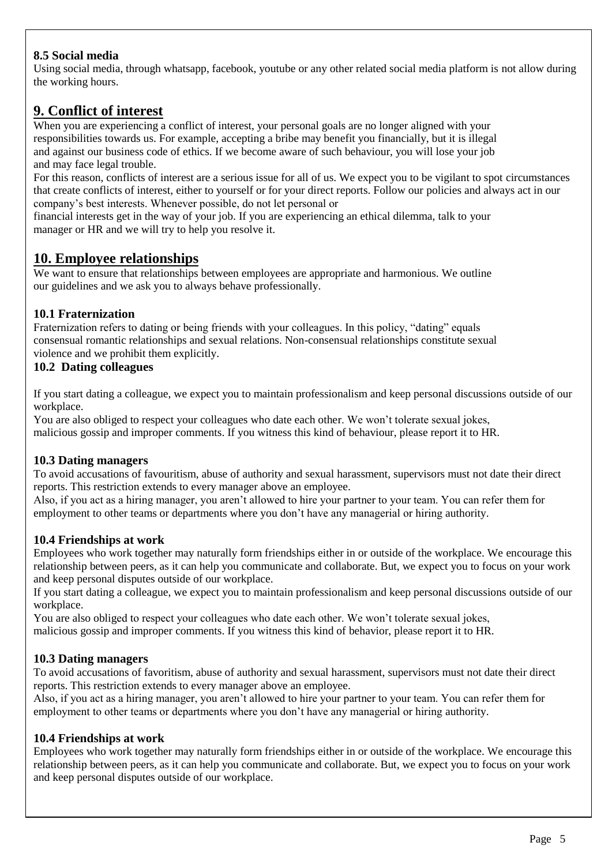## **8.5 Social media**

Using social media, through whatsapp, facebook, youtube or any other related social media platform is not allow during the working hours.

# **9. Conflict of interest**

When you are experiencing a conflict of interest, your personal goals are no longer aligned with your responsibilities towards us. For example, accepting a bribe may benefit you financially, but it is illegal and against our business code of ethics. If we become aware of such behaviour, you will lose your job and may face legal trouble.

For this reason, conflicts of interest are a serious issue for all of us. We expect you to be vigilant to spot circumstances that create conflicts of interest, either to yourself or for your direct reports. Follow our policies and always act in our company's best interests. Whenever possible, do not let personal or

financial interests get in the way of your job. If you are experiencing an ethical dilemma, talk to your manager or HR and we will try to help you resolve it.

## **10. Employee relationships**

We want to ensure that relationships between employees are appropriate and harmonious. We outline our guidelines and we ask you to always behave professionally.

## **10.1 Fraternization**

Fraternization refers to dating or being friends with your colleagues. In this policy, "dating" equals consensual romantic relationships and sexual relations. Non-consensual relationships constitute sexual violence and we prohibit them explicitly.

## **10.2 Dating colleagues**

If you start dating a colleague, we expect you to maintain professionalism and keep personal discussions outside of our workplace.

You are also obliged to respect your colleagues who date each other. We won't tolerate sexual jokes, malicious gossip and improper comments. If you witness this kind of behaviour, please report it to HR.

## **10.3 Dating managers**

To avoid accusations of favouritism, abuse of authority and sexual harassment, supervisors must not date their direct reports. This restriction extends to every manager above an employee.

Also, if you act as a hiring manager, you aren't allowed to hire your partner to your team. You can refer them for employment to other teams or departments where you don't have any managerial or hiring authority.

## **10.4 Friendships at work**

Employees who work together may naturally form friendships either in or outside of the workplace. We encourage this relationship between peers, as it can help you communicate and collaborate. But, we expect you to focus on your work and keep personal disputes outside of our workplace.

If you start dating a colleague, we expect you to maintain professionalism and keep personal discussions outside of our workplace.

You are also obliged to respect your colleagues who date each other. We won't tolerate sexual jokes, malicious gossip and improper comments. If you witness this kind of behavior, please report it to HR.

## **10.3 Dating managers**

To avoid accusations of favoritism, abuse of authority and sexual harassment, supervisors must not date their direct reports. This restriction extends to every manager above an employee.

Also, if you act as a hiring manager, you aren't allowed to hire your partner to your team. You can refer them for employment to other teams or departments where you don't have any managerial or hiring authority.

### **10.4 Friendships at work**

Employees who work together may naturally form friendships either in or outside of the workplace. We encourage this relationship between peers, as it can help you communicate and collaborate. But, we expect you to focus on your work and keep personal disputes outside of our workplace.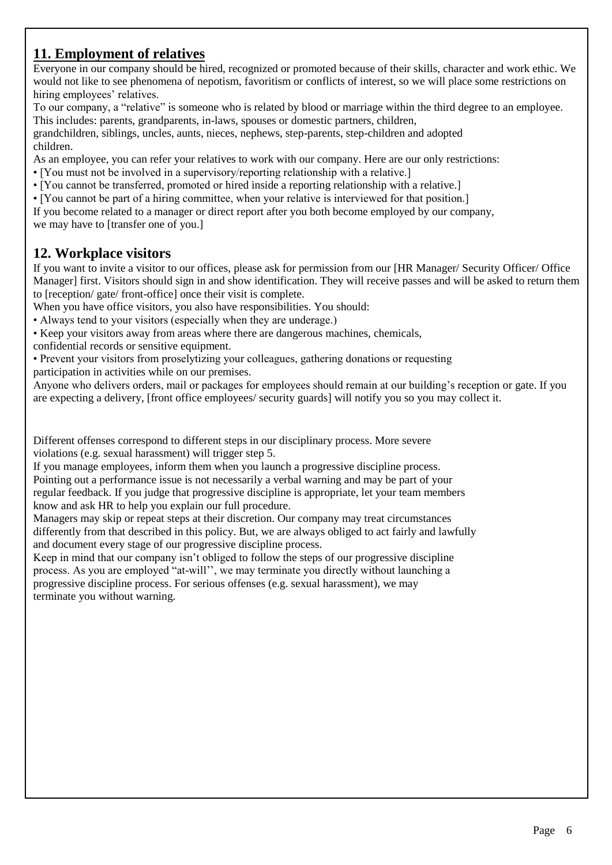# **11. Employment of relatives**

Everyone in our company should be hired, recognized or promoted because of their skills, character and work ethic. We would not like to see phenomena of nepotism, favoritism or conflicts of interest, so we will place some restrictions on hiring employees' relatives.

To our company, a "relative" is someone who is related by blood or marriage within the third degree to an employee. This includes: parents, grandparents, in-laws, spouses or domestic partners, children,

grandchildren, siblings, uncles, aunts, nieces, nephews, step-parents, step-children and adopted children.

As an employee, you can refer your relatives to work with our company. Here are our only restrictions:

- [You must not be involved in a supervisory/reporting relationship with a relative.]
- [You cannot be transferred, promoted or hired inside a reporting relationship with a relative.]
- [You cannot be part of a hiring committee, when your relative is interviewed for that position.]

If you become related to a manager or direct report after you both become employed by our company, we may have to [transfer one of you.]

## **12. Workplace visitors**

If you want to invite a visitor to our offices, please ask for permission from our [HR Manager/ Security Officer/ Office Manager] first. Visitors should sign in and show identification. They will receive passes and will be asked to return them to [reception/ gate/ front-office] once their visit is complete.

When you have office visitors, you also have responsibilities. You should:

• Always tend to your visitors (especially when they are underage.)

• Keep your visitors away from areas where there are dangerous machines, chemicals,

confidential records or sensitive equipment.

• Prevent your visitors from proselytizing your colleagues, gathering donations or requesting participation in activities while on our premises.

Anyone who delivers orders, mail or packages for employees should remain at our building's reception or gate. If you are expecting a delivery, [front office employees/ security guards] will notify you so you may collect it.

Different offenses correspond to different steps in our disciplinary process. More severe violations (e.g. sexual harassment) will trigger step 5.

If you manage employees, inform them when you launch a progressive discipline process. Pointing out a performance issue is not necessarily a verbal warning and may be part of your regular feedback. If you judge that progressive discipline is appropriate, let your team members know and ask HR to help you explain our full procedure.

Managers may skip or repeat steps at their discretion. Our company may treat circumstances differently from that described in this policy. But, we are always obliged to act fairly and lawfully and document every stage of our progressive discipline process.

Keep in mind that our company isn't obliged to follow the steps of our progressive discipline process. As you are employed "at-will'', we may terminate you directly without launching a progressive discipline process. For serious offenses (e.g. sexual harassment), we may terminate you without warning.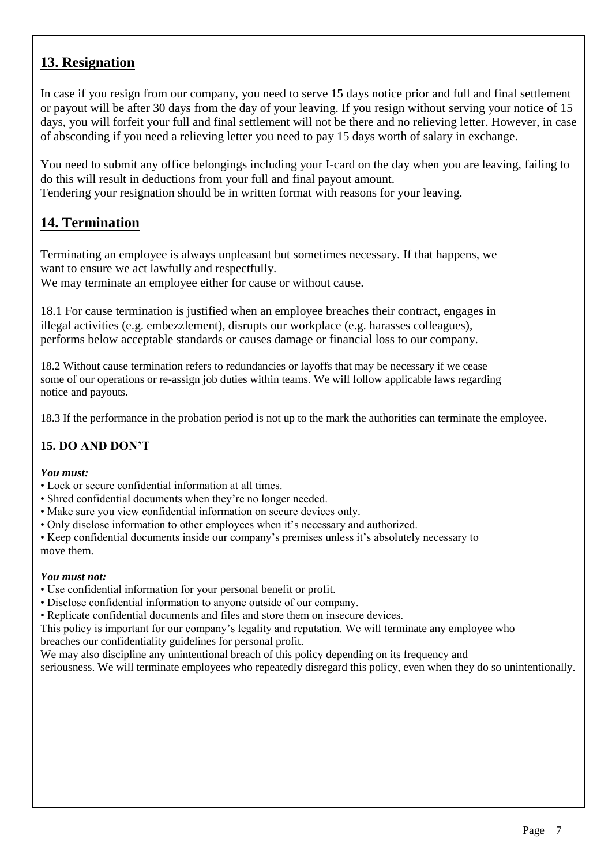# **13. Resignation**

In case if you resign from our company, you need to serve 15 days notice prior and full and final settlement or payout will be after 30 days from the day of your leaving. If you resign without serving your notice of 15 days, you will forfeit your full and final settlement will not be there and no relieving letter. However, in case of absconding if you need a relieving letter you need to pay 15 days worth of salary in exchange.

You need to submit any office belongings including your I-card on the day when you are leaving, failing to do this will result in deductions from your full and final payout amount.

Tendering your resignation should be in written format with reasons for your leaving.

# **14. Termination**

Terminating an employee is always unpleasant but sometimes necessary. If that happens, we want to ensure we act lawfully and respectfully.

We may terminate an employee either for cause or without cause.

18.1 For cause termination is justified when an employee breaches their contract, engages in illegal activities (e.g. embezzlement), disrupts our workplace (e.g. harasses colleagues), performs below acceptable standards or causes damage or financial loss to our company.

18.2 Without cause termination refers to redundancies or layoffs that may be necessary if we cease some of our operations or re-assign job duties within teams. We will follow applicable laws regarding notice and payouts.

18.3 If the performance in the probation period is not up to the mark the authorities can terminate the employee.

## **15. DO AND DON'T**

### *You must:*

- Lock or secure confidential information at all times.
- Shred confidential documents when they're no longer needed.
- Make sure you view confidential information on secure devices only.
- Only disclose information to other employees when it's necessary and authorized.

• Keep confidential documents inside our company's premises unless it's absolutely necessary to move them.

### *You must not:*

- Use confidential information for your personal benefit or profit.
- Disclose confidential information to anyone outside of our company.
- Replicate confidential documents and files and store them on insecure devices.

This policy is important for our company's legality and reputation. We will terminate any employee who breaches our confidentiality guidelines for personal profit.

We may also discipline any unintentional breach of this policy depending on its frequency and

seriousness. We will terminate employees who repeatedly disregard this policy, even when they do so unintentionally.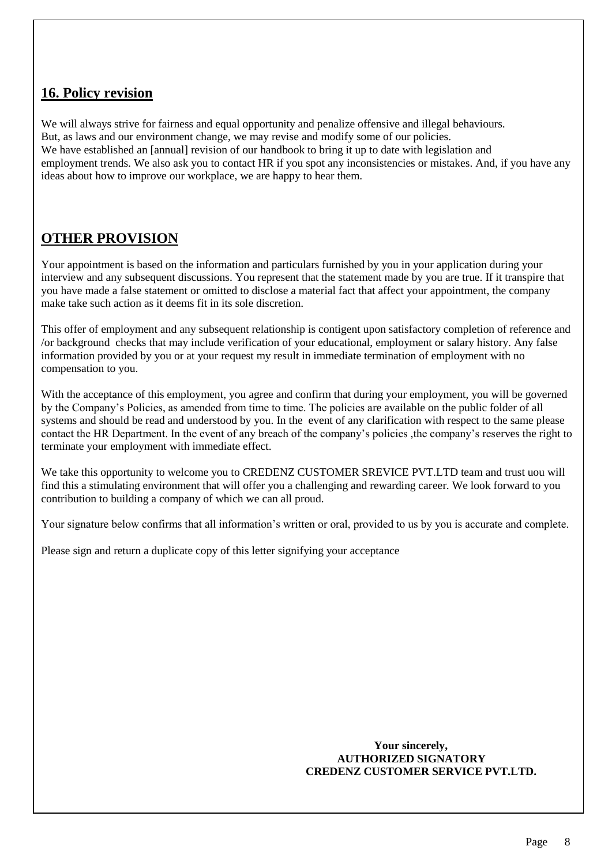# **16. Policy revision**

We will always strive for fairness and equal opportunity and penalize offensive and illegal behaviours. But, as laws and our environment change, we may revise and modify some of our policies. We have established an [annual] revision of our handbook to bring it up to date with legislation and employment trends. We also ask you to contact HR if you spot any inconsistencies or mistakes. And, if you have any ideas about how to improve our workplace, we are happy to hear them.

# **OTHER PROVISION**

Your appointment is based on the information and particulars furnished by you in your application during your interview and any subsequent discussions. You represent that the statement made by you are true. If it transpire that you have made a false statement or omitted to disclose a material fact that affect your appointment, the company make take such action as it deems fit in its sole discretion.

This offer of employment and any subsequent relationship is contigent upon satisfactory completion of reference and /or background checks that may include verification of your educational, employment or salary history. Any false information provided by you or at your request my result in immediate termination of employment with no compensation to you.

With the acceptance of this employment, you agree and confirm that during your employment, you will be governed by the Company's Policies, as amended from time to time. The policies are available on the public folder of all systems and should be read and understood by you. In the event of any clarification with respect to the same please contact the HR Department. In the event of any breach of the company's policies ,the company's reserves the right to terminate your employment with immediate effect.

We take this opportunity to welcome you to CREDENZ CUSTOMER SREVICE PVT.LTD team and trust uou will find this a stimulating environment that will offer you a challenging and rewarding career. We look forward to you contribution to building a company of which we can all proud.

Your signature below confirms that all information's written or oral, provided to us by you is accurate and complete.

Please sign and return a duplicate copy of this letter signifying your acceptance

#### **Your sincerely, AUTHORIZED SIGNATORY CREDENZ CUSTOMER SERVICE PVT.LTD.**